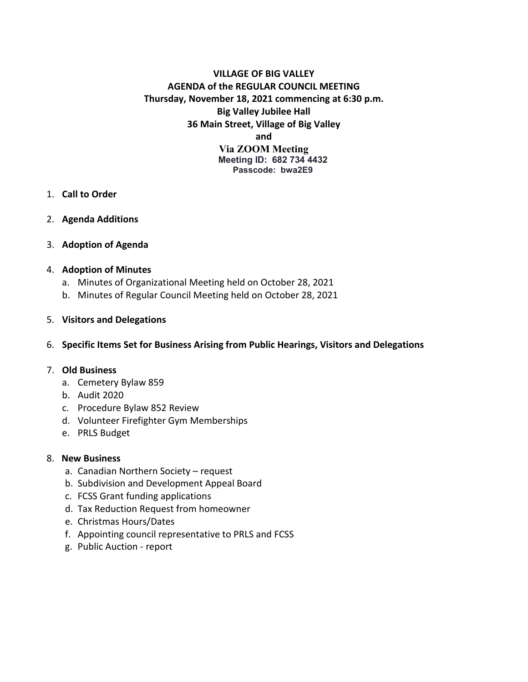# **VILLAGE OF BIG VALLEY AGENDA of the REGULAR COUNCIL MEETING Thursday, November 18, 2021 commencing at 6:30 p.m. Big Valley Jubilee Hall 36 Main Street, Village of Big Valley and Via ZOOM Meeting**

**Meeting ID: 682 734 4432 Passcode: bwa2E9**

- 1. **Call to Order**
- 2. **Agenda Additions**
- 3. **Adoption of Agenda**

#### 4. **Adoption of Minutes**

- a. Minutes of Organizational Meeting held on October 28, 2021
- b. Minutes of Regular Council Meeting held on October 28, 2021

#### 5. **Visitors and Delegations**

6. **Specific Items Set for Business Arising from Public Hearings, Visitors and Delegations**

#### 7. **Old Business**

- a. Cemetery Bylaw 859
- b. Audit 2020
- c. Procedure Bylaw 852 Review
- d. Volunteer Firefighter Gym Memberships
- e. PRLS Budget

#### 8. **New Business**

- a. Canadian Northern Society request
- b. Subdivision and Development Appeal Board
- c. FCSS Grant funding applications
- d. Tax Reduction Request from homeowner
- e. Christmas Hours/Dates
- f. Appointing council representative to PRLS and FCSS
- g. Public Auction report